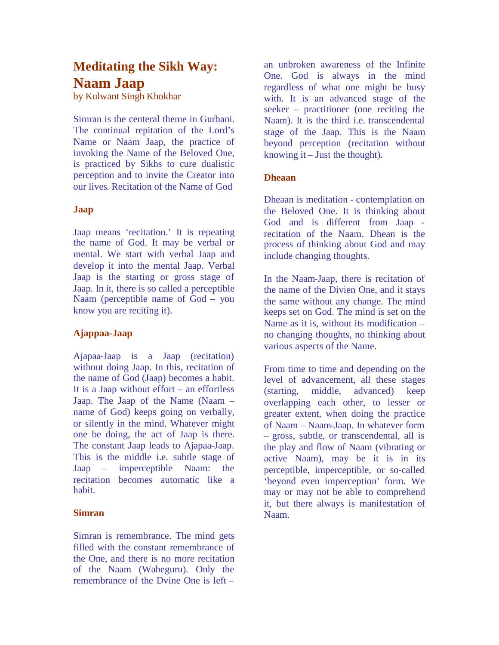# **Meditating the Sikh Way: Naam Jaap**

by Kulwant Singh Khokhar

Simran is the centeral theme in Gurbani. The continual repitation of the Lord's Name or Naam Jaap, the practice of invoking the Name of the Beloved One, is practiced by Sikhs to cure dualistic perception and to invite the Creator into our lives. Recitation of the Name of God

## **Jaap**

Jaap means 'recitation.' It is repeating the name of God. It may be verbal or mental. We start with verbal Jaap and develop it into the mental Jaap. Verbal Jaap is the starting or gross stage of Jaap. In it, there is so called a perceptible Naam (perceptible name of God – you know you are reciting it).

## **Ajappaa-Jaap**

Ajapaa-Jaap is a Jaap (recitation) without doing Jaap. In this, recitation of the name of God (Jaap) becomes a habit. It is a Jaap without effort – an effortless Jaap. The Jaap of the Name (Naam – name of God) keeps going on verbally, or silently in the mind. Whatever might one be doing, the act of Jaap is there. The constant Jaap leads to Ajapaa-Jaap. This is the middle i.e. subtle stage of Jaap – imperceptible Naam: the recitation becomes automatic like a habit.

#### **Simran**

Simran is remembrance. The mind gets filled with the constant remembrance of the One, and there is no more recitation of the Naam (Waheguru). Only the remembrance of the Dvine One is left –

an unbroken awareness of the Infinite One. God is always in the mind regardless of what one might be busy with. It is an advanced stage of the seeker – practitioner (one reciting the Naam). It is the third i.e. transcendental stage of the Jaap. This is the Naam beyond perception (recitation without knowing it – Just the thought).

#### **Dheaan**

Dheaan is meditation - contemplation on the Beloved One. It is thinking about God and is different from Jaap recitation of the Naam. Dhean is the process of thinking about God and may include changing thoughts.

In the Naam-Jaap, there is recitation of the name of the Divien One, and it stays the same without any change. The mind keeps set on God. The mind is set on the Name as it is, without its modification – no changing thoughts, no thinking about various aspects of the Name.

From time to time and depending on the level of advancement, all these stages (starting, middle, advanced) keep overlapping each other, to lesser or greater extent, when doing the practice of Naam – Naam-Jaap. In whatever form – gross, subtle, or transcendental, all is the play and flow of Naam (vibrating or active Naam), may be it is in its perceptible, imperceptible, or so-called 'beyond even imperception' form. We may or may not be able to comprehend it, but there always is manifestation of Naam.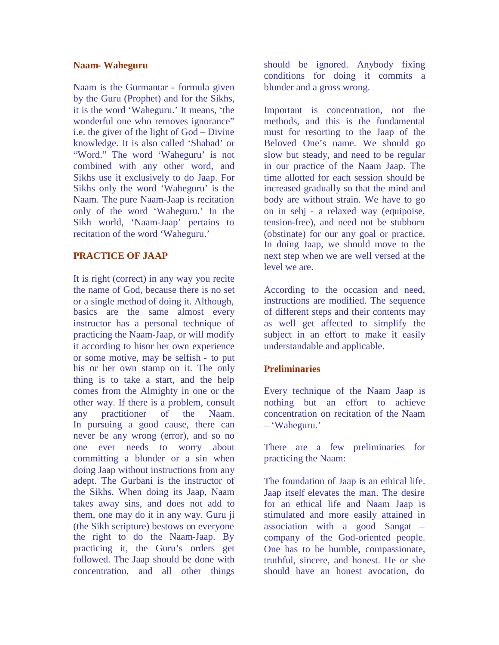#### **Naam- Waheguru**

Naam is the Gurmantar - formula given by the Guru (Prophet) and for the Sikhs, it is the word 'Waheguru.' It means, 'the wonderful one who removes ignorance" i.e. the giver of the light of God – Divine knowledge. It is also called 'Shabad' or "Word." The word 'Waheguru' is not combined with any other word, and Sikhs use it exclusively to do Jaap. For Sikhs only the word 'Waheguru' is the Naam. The pure Naam-Jaap is recitation only of the word 'Waheguru.' In the Sikh world, 'Naam-Jaap' pertains to recitation of the word 'Waheguru.'

## **PRACTICE OF JAAP**

It is right (correct) in any way you recite the name of God, because there is no set or a single method of doing it. Although, basics are the same almost every instructor has a personal technique of practicing the Naam-Jaap, or will modify it according to hisor her own experience or some motive, may be selfish - to put his or her own stamp on it. The only thing is to take a start, and the help comes from the Almighty in one or the other way. If there is a problem, consult any practitioner of the Naam. In pursuing a good cause, there can never be any wrong (error), and so no one ever needs to worry about committing a blunder or a sin when doing Jaap without instructions from any adept. The Gurbani is the instructor of the Sikhs. When doing its Jaap, Naam takes away sins, and does not add to them, one may do it in any way. Guru ji (the Sikh scripture) bestows on everyone the right to do the Naam-Jaap. By practicing it, the Guru's orders get followed. The Jaap should be done with concentration, and all other things

should be ignored. Anybody fixing conditions for doing it commits a blunder and a gross wrong.

Important is concentration, not the methods, and this is the fundamental must for resorting to the Jaap of the Beloved One's name. We should go slow but steady, and need to be regular in our practice of the Naam Jaap. The time allotted for each session should be increased gradually so that the mind and body are without strain. We have to go on in sehj - a relaxed way (equipoise, tension-free), and need not be stubborn (obstinate) for our any goal or practice. In doing Jaap, we should move to the next step when we are well versed at the level we are.

According to the occasion and need, instructions are modified. The sequence of different steps and their contents may as well get affected to simplify the subject in an effort to make it easily understandable and applicable.

## **Preliminaries**

Every technique of the Naam Jaap is nothing but an effort to achieve concentration on recitation of the Naam – 'Waheguru.'

There are a few preliminaries for practicing the Naam:

The foundation of Jaap is an ethical life. Jaap itself elevates the man. The desire for an ethical life and Naam Jaap is stimulated and more easily attained in association with a good Sangat – company of the God-oriented people. One has to be humble, compassionate, truthful, sincere, and honest. He or she should have an honest avocation, do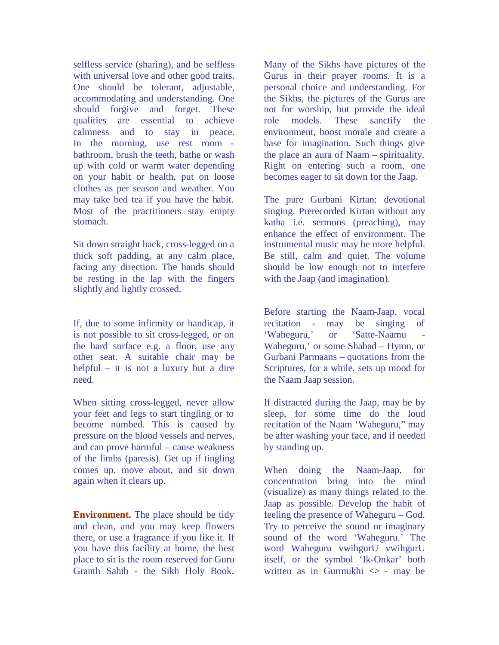selfless service (sharing), and be selfless with universal love and other good traits. One should be tolerant, adjustable, accommodating and understanding. One should forgive and forget. These qualities are essential to achieve calmness and to stay in peace. In the morning, use rest room bathroom, brush the teeth, bathe or wash up with cold or warm water depending on your habit or health, put on loose clothes as per season and weather. You may take bed tea if you have the habit. Most of the practitioners stay empty stomach.

Sit down straight back, cross-legged on a thick soft padding, at any calm place, facing any direction. The hands should be resting in the lap with the fingers slightly and lightly crossed.

If, due to some infirmity or handicap, it is not possible to sit cross-legged, or on the hard surface e.g. a floor, use any other seat. A suitable chair may be helpful – it is not a luxury but a dire need.

When sitting cross-legged, never allow your feet and legs to start tingling or to become numbed. This is caused by pressure on the blood vessels and nerves, and can prove harmful – cause weakness of the limbs (paresis). Get up if tingling comes up, move about, and sit down again when it clears up.

**Environment.** The place should be tidy and clean, and you may keep flowers there, or use a fragrance if you like it. If you have this facility at home, the best place to sit is the room reserved for Guru Granth Sahib - the Sikh Holy Book.

Many of the Sikhs have pictures of the Gurus in their prayer rooms. It is a personal choice and understanding. For the Sikhs, the pictures of the Gurus are not for worship, but provide the ideal role models. These sanctify the environment, boost morale and create a base for imagination. Such things give the place an aura of Naam – spirituality. Right on entering such a room, one becomes eager to sit down for the Jaap.

The pure Gurbani Kirtan: devotional singing. Prerecorded Kirtan without any katha i.e. sermons (preaching), may enhance the effect of environment. The instrumental music may be more helpful. Be still, calm and quiet. The volume should be low enough not to interfere with the Jaap (and imagination).

Before starting the Naam-Jaap, vocal recitation - may be singing of 'Waheguru,' or 'Satte-Naamu Waheguru,' or some Shabad – Hymn, or Gurbani Parmaans – quotations from the Scriptures, for a while, sets up mood for the Naam Jaap session.

If distracted during the Jaap, may be by sleep, for some time do the loud recitation of the Naam 'Waheguru," may be after washing your face, and if needed by standing up.

When doing the Naam-Jaap, for concentration bring into the mind (visualize) as many things related to the Jaap as possible. Develop the habit of feeling the presence of Waheguru – God. Try to perceive the sound or imaginary sound of the word 'Waheguru.' The word Waheguru vwihgurU vwihgurU itself, or the symbol 'Ik-Onkar' both written as in Gurmukhi  $\leq$  - may be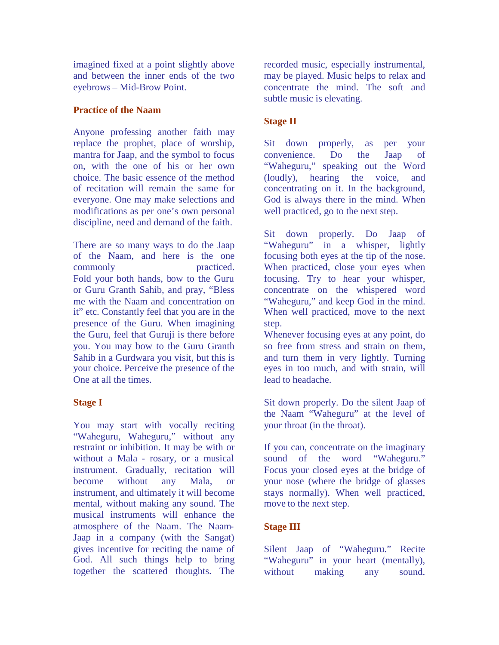imagined fixed at a point slightly above and between the inner ends of the two eyebrows – Mid-Brow Point.

## **Practice of the Naam**

Anyone professing another faith may replace the prophet, place of worship, mantra for Jaap, and the symbol to focus on, with the one of his or her own choice. The basic essence of the method of recitation will remain the same for everyone. One may make selections and modifications as per one's own personal discipline, need and demand of the faith.

There are so many ways to do the Jaap of the Naam, and here is the one commonly practiced. Fold your both hands, bow to the Guru or Guru Granth Sahib, and pray, "Bless me with the Naam and concentration on it" etc. Constantly feel that you are in the presence of the Guru. When imagining the Guru, feel that Guruji is there before you. You may bow to the Guru Granth Sahib in a Gurdwara you visit, but this is your choice. Perceive the presence of the One at all the times.

## **Stage I**

You may start with vocally reciting "Waheguru, Waheguru," without any restraint or inhibition. It may be with or without a Mala - rosary, or a musical instrument. Gradually, recitation will become without any Mala, or instrument, and ultimately it will become mental, without making any sound. The musical instruments will enhance the atmosphere of the Naam. The Naam-Jaap in a company (with the Sangat) gives incentive for reciting the name of God. All such things help to bring together the scattered thoughts. The

recorded music, especially instrumental, may be played. Music helps to relax and concentrate the mind. The soft and subtle music is elevating.

# **Stage II**

Sit down properly, as per your convenience. Do the Jaap of "Waheguru," speaking out the Word (loudly), hearing the voice, and concentrating on it. In the background, God is always there in the mind. When well practiced, go to the next step.

Sit down properly. Do Jaap of "Waheguru" in a whisper, lightly focusing both eyes at the tip of the nose. When practiced, close your eyes when focusing. Try to hear your whisper, concentrate on the whispered word "Waheguru," and keep God in the mind. When well practiced, move to the next step.

Whenever focusing eyes at any point, do so free from stress and strain on them, and turn them in very lightly. Turning eyes in too much, and with strain, will lead to headache.

Sit down properly. Do the silent Jaap of the Naam "Waheguru" at the level of your throat (in the throat).

If you can, concentrate on the imaginary sound of the word "Waheguru." Focus your closed eyes at the bridge of your nose (where the bridge of glasses stays normally). When well practiced, move to the next step.

# **Stage III**

Silent Jaap of "Waheguru." Recite "Waheguru" in your heart (mentally), without making any sound.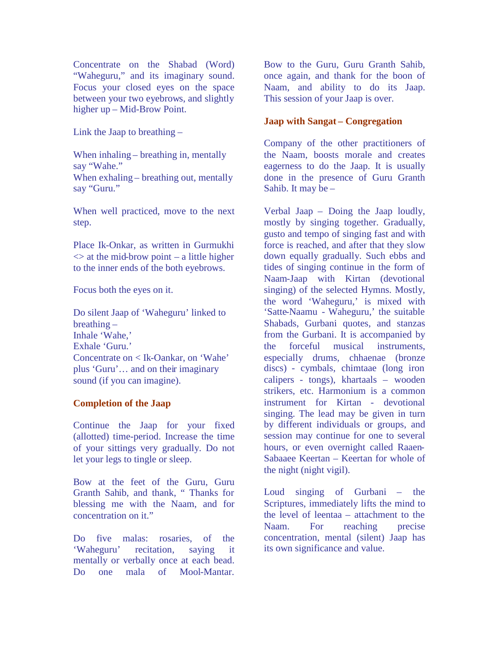Concentrate on the Shabad (Word) "Waheguru," and its imaginary sound. Focus your closed eyes on the space between your two eyebrows, and slightly higher up – Mid-Brow Point.

Link the Jaap to breathing –

When inhaling – breathing in, mentally say "Wahe." When exhaling – breathing out, mentally say "Guru."

When well practiced, move to the next step.

Place Ik-Onkar, as written in Gurmukhi  $\leq$  at the mid-brow point – a little higher to the inner ends of the both eyebrows.

Focus both the eyes on it.

Do silent Jaap of 'Waheguru' linked to breathing – Inhale 'Wahe,' Exhale 'Guru.' Concentrate on < Ik-Oankar, on 'Wahe' plus 'Guru'… and on their imaginary sound (if you can imagine).

## **Completion of the Jaap**

Continue the Jaap for your fixed (allotted) time-period. Increase the time of your sittings very gradually. Do not let your legs to tingle or sleep.

Bow at the feet of the Guru, Guru Granth Sahib, and thank, " Thanks for blessing me with the Naam, and for concentration on it."

Do five malas: rosaries, of the 'Waheguru' recitation, saying it mentally or verbally once at each bead. Do one mala of Mool-Mantar.

Bow to the Guru, Guru Granth Sahib, once again, and thank for the boon of Naam, and ability to do its Jaap. This session of your Jaap is over.

## **Jaap with Sangat – Congregation**

Company of the other practitioners of the Naam, boosts morale and creates eagerness to do the Jaap. It is usually done in the presence of Guru Granth Sahib. It may be –

Verbal Jaap – Doing the Jaap loudly, mostly by singing together. Gradually, gusto and tempo of singing fast and with force is reached, and after that they slow down equally gradually. Such ebbs and tides of singing continue in the form of Naam-Jaap with Kirtan (devotional singing) of the selected Hymns. Mostly, the word 'Waheguru,' is mixed with 'Satte-Naamu - Waheguru,' the suitable Shabads, Gurbani quotes, and stanzas from the Gurbani. It is accompanied by the forceful musical instruments, especially drums, chhaenae (bronze discs) - cymbals, chimtaae (long iron calipers - tongs), khartaals – wooden strikers, etc. Harmonium is a common instrument for Kirtan - devotional singing. The lead may be given in turn by different individuals or groups, and session may continue for one to several hours, or even overnight called Raaen-Sabaaee Keertan – Keertan for whole of the night (night vigil).

Loud singing of Gurbani – the Scriptures, immediately lifts the mind to the level of leentaa – attachment to the Naam. For reaching precise concentration, mental (silent) Jaap has its own significance and value.